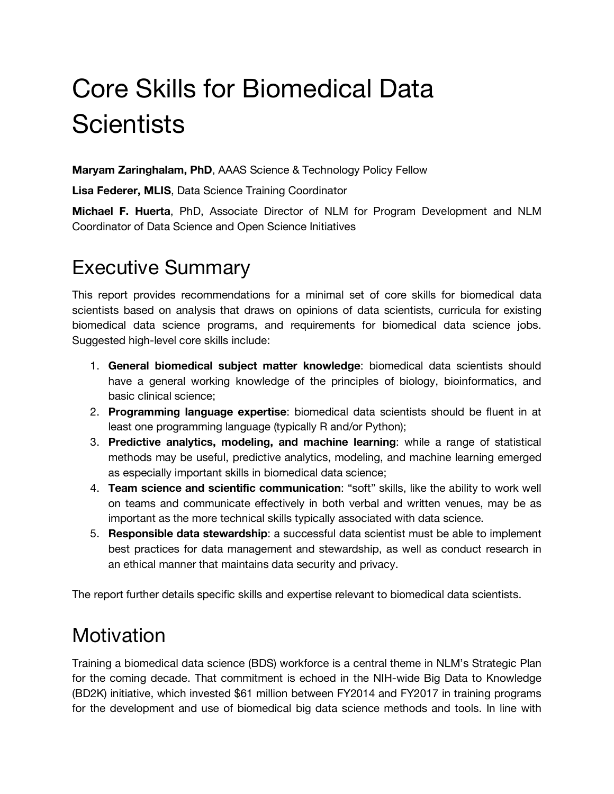# Core Skills for Biomedical Data **Scientists**

**Maryam Zaringhalam, PhD**, AAAS Science & Technology Policy Fellow

 **Lisa Federer, MLIS**, Data Science Training Coordinator

 **Michael F. Huerta**, PhD, Associate Director of NLM for Program Development and NLM Coordinator of Data Science and Open Science Initiatives

## Executive Summary

 This report provides recommendations for a minimal set of core skills for biomedical data scientists based on analysis that draws on opinions of data scientists, curricula for existing biomedical data science programs, and requirements for biomedical data science jobs. Suggested high-level core skills include:

- 1. **General biomedical subject matter knowledge**: biomedical data scientists should have a general working knowledge of the principles of biology, bioinformatics, and basic clinical science;
- 2. **Programming language expertise**: biomedical data scientists should be fluent in at least one programming language (typically R and/or Python);
- 3. **Predictive analytics, modeling, and machine learning**: while a range of statistical methods may be useful, predictive analytics, modeling, and machine learning emerged as especially important skills in biomedical data science;
- 4. **Team science and scientific communication**: "soft" skills, like the ability to work well on teams and communicate effectively in both verbal and written venues, may be as important as the more technical skills typically associated with data science.
- 5. **Responsible data stewardship**: a successful data scientist must be able to implement best practices for data management and stewardship, as well as conduct research in an ethical manner that maintains data security and privacy.

The report further details specific skills and expertise relevant to biomedical data scientists.

## **Motivation**

 Training a biomedical data science (BDS) workforce is a central theme in NLM's Strategic Plan for the coming decade. That commitment is echoed in the NIH-wide Big Data to Knowledge (BD2K) initiative, which invested \$61 million between FY2014 and FY2017 in training programs for the development and use of biomedical big data science methods and tools. In line with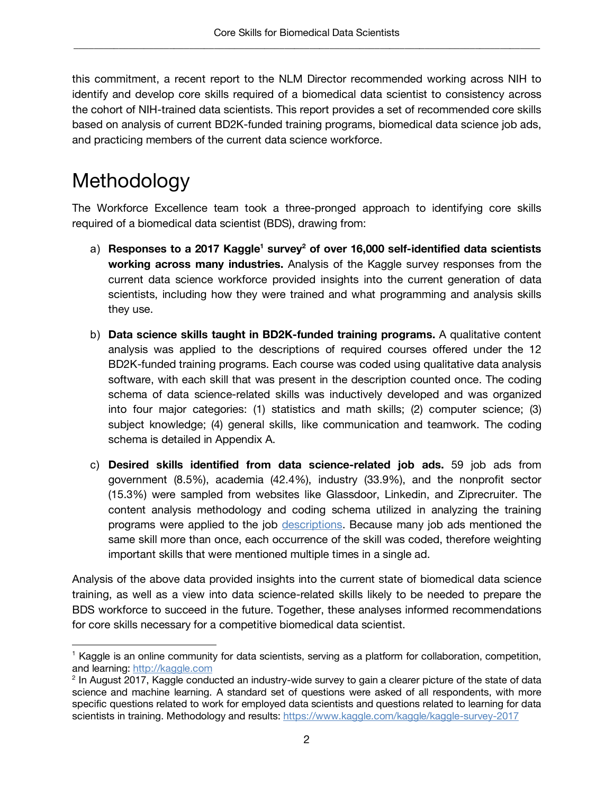this commitment, a recent report to the NLM Director recommended working across NIH to identify and develop core skills required of a biomedical data scientist to consistency across the cohort of NIH-trained data scientists. This report provides a set of recommended core skills based on analysis of current BD2K-funded training programs, biomedical data science job ads, and practicing members of the current data science workforce.

# Methodology

 $\overline{a}$ 

 The Workforce Excellence team took a three-pronged approach to identifying core skills required of a biomedical data scientist (BDS), drawing from:

- a) Responses to a 2017 Kaggle<sup>1</sup> survey<sup>2</sup> of over 16,000 self-identified data scientists  **working across many industries.** Analysis of the Kaggle survey responses from the current data science workforce provided insights into the current generation of data scientists, including how they were trained and what programming and analysis skills they use.
- b) **Data science skills taught in BD2K-funded training programs.** A qualitative content analysis was applied to the descriptions of required courses offered under the 12 BD2K-funded training programs. Each course was coded using qualitative data analysis software, with each skill that was present in the description counted once. The coding schema of data science-related skills was inductively developed and was organized into four major categories: (1) statistics and math skills; (2) computer science; (3) subject knowledge; (4) general skills, like communication and teamwork. The coding schema is detailed in Appendix A.
- c) **Desired skills identified from data science-related job ads.** 59 job ads from government (8.5%), academia (42.4%), industry (33.9%), and the nonprofit sector (15.3%) were sampled from websites like Glassdoor, Linkedin, and Ziprecruiter. The content analysis methodology and coding schema utilized in analyzing the training programs were applied to the job descriptions. Because many job ads mentioned the same skill more than once, each occurrence of the skill was coded, therefore weighting important skills that were mentioned multiple times in a single ad.

 Analysis of the above data provided insights into the current state of biomedical data science training, as well as a view into data science-related skills likely to be needed to prepare the BDS workforce to succeed in the future. Together, these analyses informed recommendations for core skills necessary for a competitive biomedical data scientist.

 $<sup>1</sup>$  Kaggle is an online community for data scientists, serving as a platform for collaboration, competition,</sup> and learning: http://kaggle.com and learning: <u><http://kaggle.com></u><br><sup>2</sup> In August 2[017, Kaggle condu](http://kaggle.com)cted an industry-wide survey to gain a clearer picture of the state of data

 science and machine learning. A standard set of questions were asked of all respondents, with more specific questions related to work for employed data scientists and questions related to learning for data scientists in training. Methodology and results: https://www.kaggle.com/kaggle/kaggle-survey-2017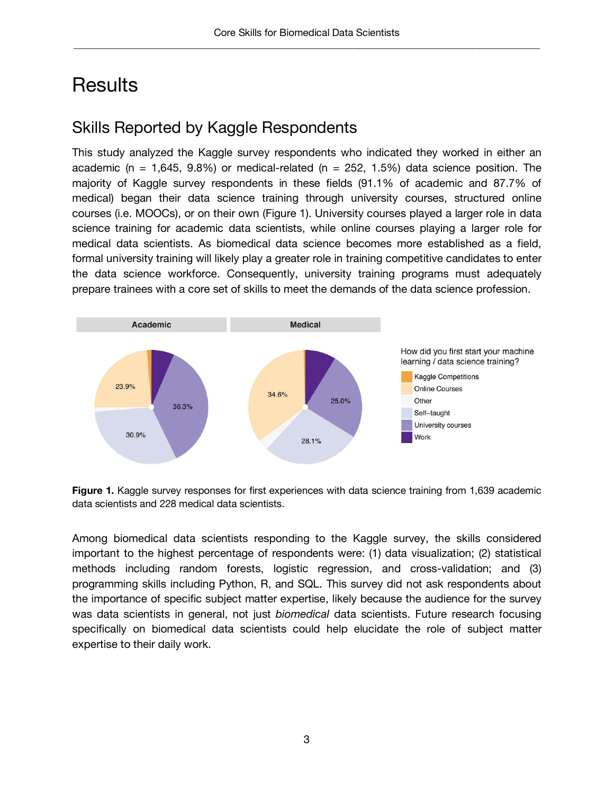## **Results**

### Skills Reported by Kaggle Respondents

 This study analyzed the Kaggle survey respondents who indicated they worked in either an academic (n = 1,645, 9.8%) or medical-related (n = 252, 1.5%) data science position. The majority of Kaggle survey respondents in these fields (91.1% of academic and 87.7% of medical) began their data science training through university courses, structured online courses (i.e. MOOCs), or on their own (Figure 1). University courses played a larger role in data science training for academic data scientists, while online courses playing a larger role for medical data scientists. As biomedical data science becomes more established as a field, formal university training will likely play a greater role in training competitive candidates to enter the data science workforce. Consequently, university training programs must adequately prepare trainees with a core set of skills to meet the demands of the data science profession.



**Figure 1.** Kaggle survey responses for first experiences with data science training from 1,639 academic data scientists and 228 medical data scientists.

 Among biomedical data scientists responding to the Kaggle survey, the skills considered important to the highest percentage of respondents were: (1) data visualization; (2) statistical methods including random forests, logistic regression, and cross-validation; and (3) programming skills including Python, R, and SQL. This survey did not ask respondents about the importance of specific subject matter expertise, likely because the audience for the survey was data scientists in general, not just *biomedical* data scientists. Future research focusing specifically on biomedical data scientists could help elucidate the role of subject matter expertise to their daily work.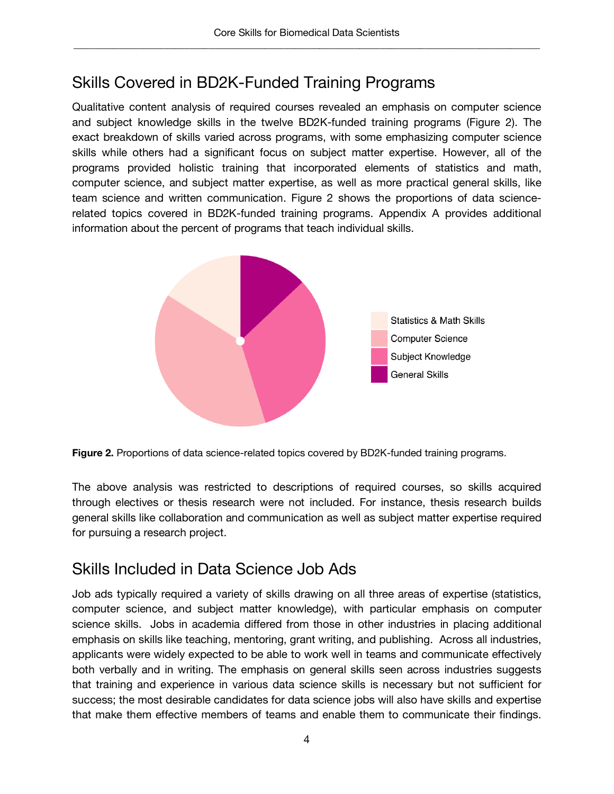### Skills Covered in BD2K-Funded Training Programs

 Qualitative content analysis of required courses revealed an emphasis on computer science and subject knowledge skills in the twelve BD2K-funded training programs (Figure 2). The exact breakdown of skills varied across programs, with some emphasizing computer science skills while others had a significant focus on subject matter expertise. However, all of the programs provided holistic training that incorporated elements of statistics and math, computer science, and subject matter expertise, as well as more practical general skills, like team science and written communication. Figure 2 shows the proportions of data science- related topics covered in BD2K-funded training programs. Appendix A provides additional information about the percent of programs that teach individual skills.



 **Figure 2.** Proportions of data science-related topics covered by BD2K-funded training programs.

 The above analysis was restricted to descriptions of required courses, so skills acquired through electives or thesis research were not included. For instance, thesis research builds general skills like collaboration and communication as well as subject matter expertise required for pursuing a research project.

### Skills Included in Data Science Job Ads

 Job ads typically required a variety of skills drawing on all three areas of expertise (statistics, computer science, and subject matter knowledge), with particular emphasis on computer science skills. Jobs in academia differed from those in other industries in placing additional emphasis on skills like teaching, mentoring, grant writing, and publishing. Across all industries, applicants were widely expected to be able to work well in teams and communicate effectively both verbally and in writing. The emphasis on general skills seen across industries suggests that training and experience in various data science skills is necessary but not sufficient for success; the most desirable candidates for data science jobs will also have skills and expertise that make them effective members of teams and enable them to communicate their findings.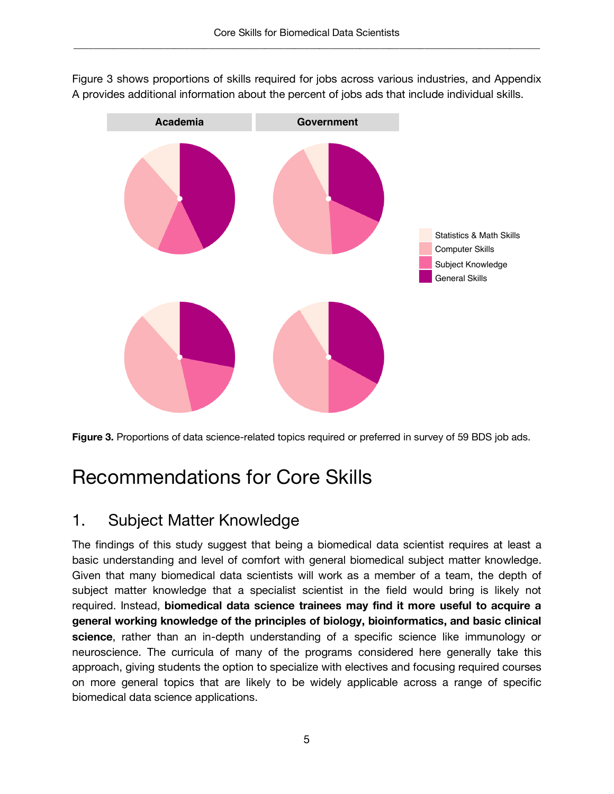Figure 3 shows proportions of skills required for jobs across various industries, and Appendix A provides additional information about the percent of jobs ads that include individual skills.



 **Figure 3.** Proportions of data science-related topics required or preferred in survey of 59 BDS job ads.

# Recommendations for Core Skills

### 1. Subject Matter Knowledge

 The findings of this study suggest that being a biomedical data scientist requires at least a basic understanding and level of comfort with general biomedical subject matter knowledge. Given that many biomedical data scientists will work as a member of a team, the depth of subject matter knowledge that a specialist scientist in the field would bring is likely not required. Instead, **biomedical data science trainees may find it more useful to acquire a general working knowledge of the principles of biology, bioinformatics, and basic clinical science**, rather than an in-depth understanding of a specific science like immunology or neuroscience. The curricula of many of the programs considered here generally take this approach, giving students the option to specialize with electives and focusing required courses on more general topics that are likely to be widely applicable across a range of specific biomedical data science applications.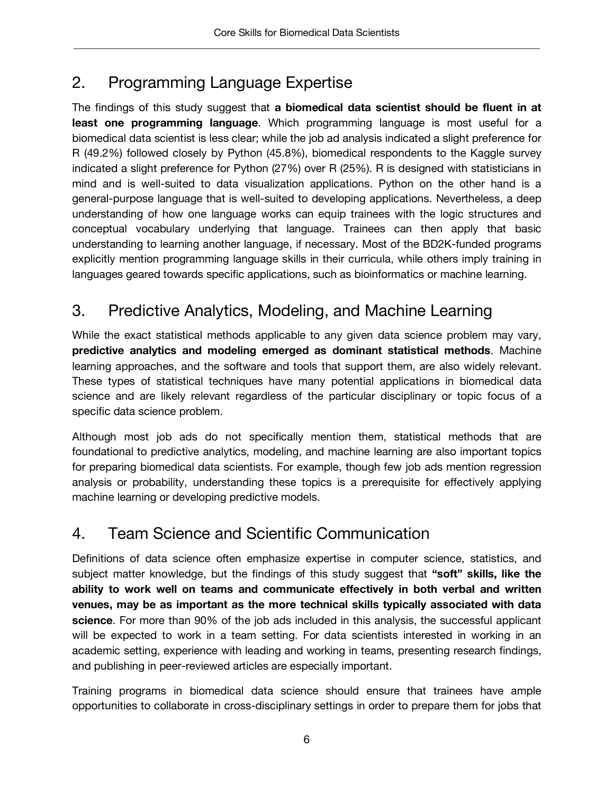### 2. Programming Language Expertise

 The findings of this study suggest that **a biomedical data scientist should be fluent in at least one programming language**. Which programming language is most useful for a biomedical data scientist is less clear; while the job ad analysis indicated a slight preference for R (49.2%) followed closely by Python (45.8%), biomedical respondents to the Kaggle survey indicated a slight preference for Python (27%) over R (25%). R is designed with statisticians in mind and is well-suited to data visualization applications. Python on the other hand is a general-purpose language that is well-suited to developing applications. Nevertheless, a deep understanding of how one language works can equip trainees with the logic structures and conceptual vocabulary underlying that language. Trainees can then apply that basic understanding to learning another language, if necessary. Most of the BD2K-funded programs explicitly mention programming language skills in their curricula, while others imply training in languages geared towards specific applications, such as bioinformatics or machine learning.

### 3. Predictive Analytics, Modeling, and Machine Learning

 While the exact statistical methods applicable to any given data science problem may vary,  **predictive analytics and modeling emerged as dominant statistical methods**. Machine learning approaches, and the software and tools that support them, are also widely relevant. These types of statistical techniques have many potential applications in biomedical data science and are likely relevant regardless of the particular disciplinary or topic focus of a specific data science problem.

 Although most job ads do not specifically mention them, statistical methods that are foundational to predictive analytics, modeling, and machine learning are also important topics for preparing biomedical data scientists. For example, though few job ads mention regression analysis or probability, understanding these topics is a prerequisite for effectively applying machine learning or developing predictive models.

### 4. Team Science and Scientific Communication

 Definitions of data science often emphasize expertise in computer science, statistics, and subject matter knowledge, but the findings of this study suggest that **"soft" skills, like the ability to work well on teams and communicate effectively in both verbal and written venues, may be as important as the more technical skills typically associated with data science**. For more than 90% of the job ads included in this analysis, the successful applicant will be expected to work in a team setting. For data scientists interested in working in an academic setting, experience with leading and working in teams, presenting research findings, and publishing in peer-reviewed articles are especially important.

 Training programs in biomedical data science should ensure that trainees have ample opportunities to collaborate in cross-disciplinary settings in order to prepare them for jobs that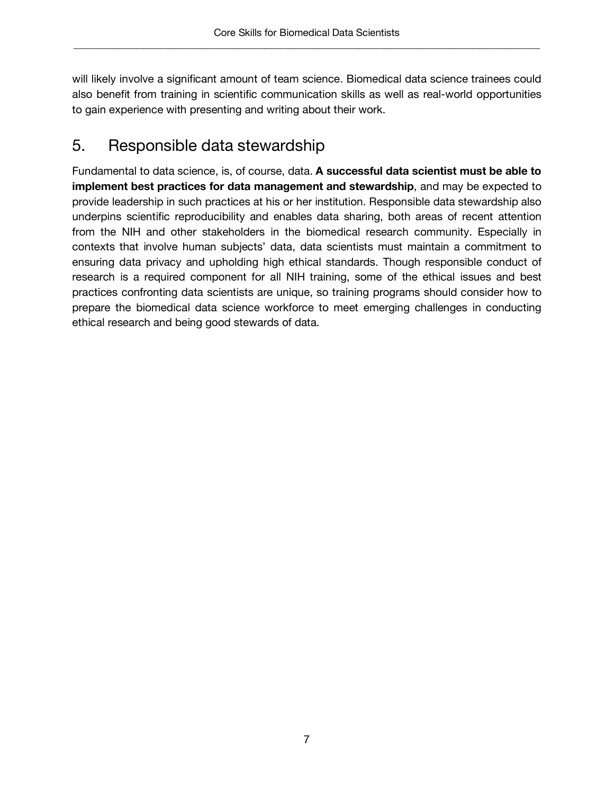will likely involve a significant amount of team science. Biomedical data science trainees could also benefit from training in scientific communication skills as well as real-world opportunities to gain experience with presenting and writing about their work.

### 5. Responsible data stewardship

 Fundamental to data science, is, of course, data. **A successful data scientist must be able to implement best practices for data management and stewardship**, and may be expected to provide leadership in such practices at his or her institution. Responsible data stewardship also underpins scientific reproducibility and enables data sharing, both areas of recent attention from the NIH and other stakeholders in the biomedical research community. Especially in contexts that involve human subjects' data, data scientists must maintain a commitment to ensuring data privacy and upholding high ethical standards. Though responsible conduct of research is a required component for all NIH training, some of the ethical issues and best practices confronting data scientists are unique, so training programs should consider how to prepare the biomedical data science workforce to meet emerging challenges in conducting ethical research and being good stewards of data.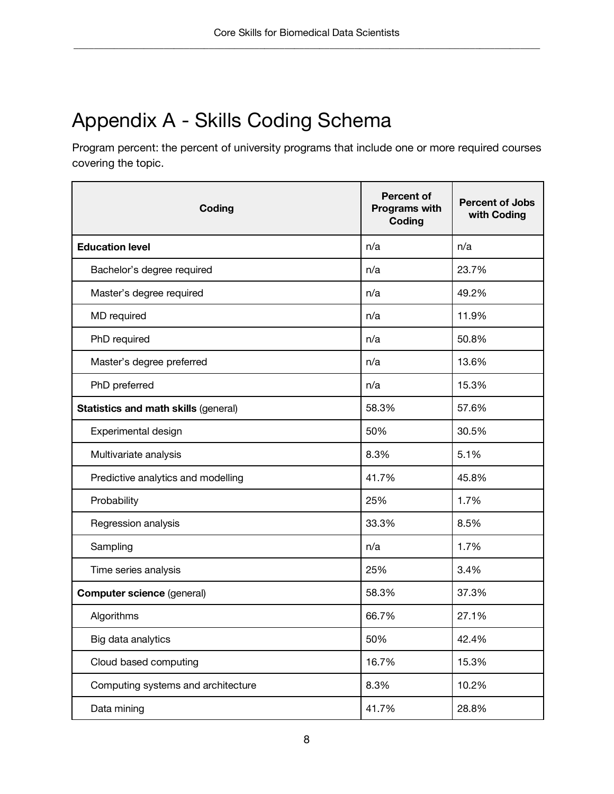# Appendix A - Skills Coding Schema

 Program percent: the percent of university programs that include one or more required courses covering the topic.

| Coding                               | <b>Percent of</b><br>Programs with<br>Coding | <b>Percent of Jobs</b><br>with Coding |
|--------------------------------------|----------------------------------------------|---------------------------------------|
| <b>Education level</b>               | n/a                                          | n/a                                   |
| Bachelor's degree required           | n/a                                          | 23.7%                                 |
| Master's degree required             | n/a                                          | 49.2%                                 |
| MD required                          | n/a                                          | 11.9%                                 |
| PhD required                         | n/a                                          | 50.8%                                 |
| Master's degree preferred            | n/a                                          | 13.6%                                 |
| PhD preferred                        | n/a                                          | 15.3%                                 |
| Statistics and math skills (general) | 58.3%                                        | 57.6%                                 |
| Experimental design                  | 50%                                          | 30.5%                                 |
| Multivariate analysis                | 8.3%                                         | 5.1%                                  |
| Predictive analytics and modelling   | 41.7%                                        | 45.8%                                 |
| Probability                          | 25%                                          | 1.7%                                  |
| Regression analysis                  | 33.3%                                        | 8.5%                                  |
| Sampling                             | n/a                                          | 1.7%                                  |
| Time series analysis                 | 25%                                          | 3.4%                                  |
| <b>Computer science (general)</b>    | 58.3%                                        | 37.3%                                 |
| Algorithms                           | 66.7%                                        | 27.1%                                 |
| Big data analytics                   | 50%                                          | 42.4%                                 |
| Cloud based computing                | 16.7%                                        | 15.3%                                 |
| Computing systems and architecture   | 8.3%                                         | 10.2%                                 |
| Data mining                          | 41.7%                                        | 28.8%                                 |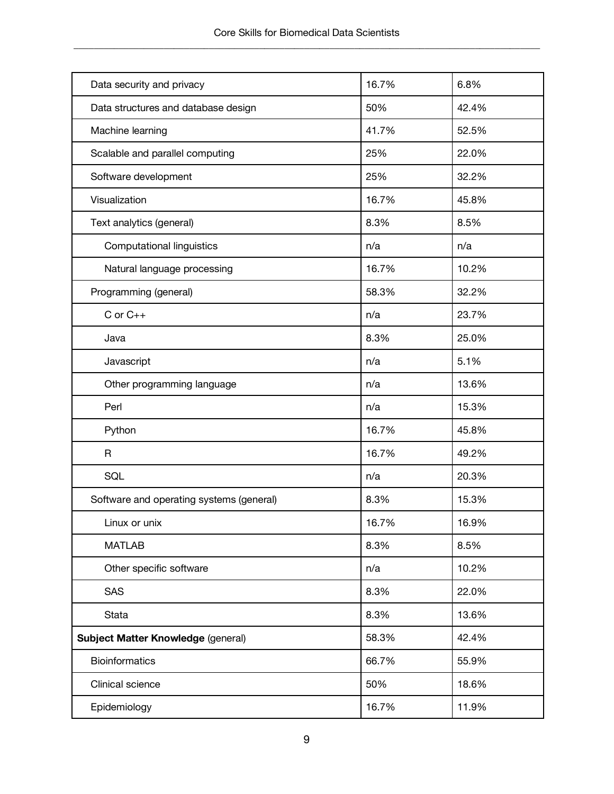| Data security and privacy                | 16.7% | 6.8%  |
|------------------------------------------|-------|-------|
| Data structures and database design      | 50%   | 42.4% |
| Machine learning                         | 41.7% | 52.5% |
| Scalable and parallel computing          | 25%   | 22.0% |
| Software development                     | 25%   | 32.2% |
| Visualization                            | 16.7% | 45.8% |
| Text analytics (general)                 | 8.3%  | 8.5%  |
| <b>Computational linguistics</b>         | n/a   | n/a   |
| Natural language processing              | 16.7% | 10.2% |
| Programming (general)                    | 58.3% | 32.2% |
| $C$ or $C_{++}$                          | n/a   | 23.7% |
| Java                                     | 8.3%  | 25.0% |
| Javascript                               | n/a   | 5.1%  |
| Other programming language               | n/a   | 13.6% |
| Perl                                     | n/a   | 15.3% |
| Python                                   | 16.7% | 45.8% |
| $\mathsf{R}$                             | 16.7% | 49.2% |
| SQL                                      | n/a   | 20.3% |
| Software and operating systems (general) | 8.3%  | 15.3% |
| Linux or unix                            | 16.7% | 16.9% |
| <b>MATLAB</b>                            | 8.3%  | 8.5%  |
| Other specific software                  | n/a   | 10.2% |
| SAS                                      | 8.3%  | 22.0% |
| <b>Stata</b>                             | 8.3%  | 13.6% |
| Subject Matter Knowledge (general)       | 58.3% | 42.4% |
| <b>Bioinformatics</b>                    | 66.7% | 55.9% |
| Clinical science                         | 50%   | 18.6% |
| Epidemiology                             | 16.7% | 11.9% |